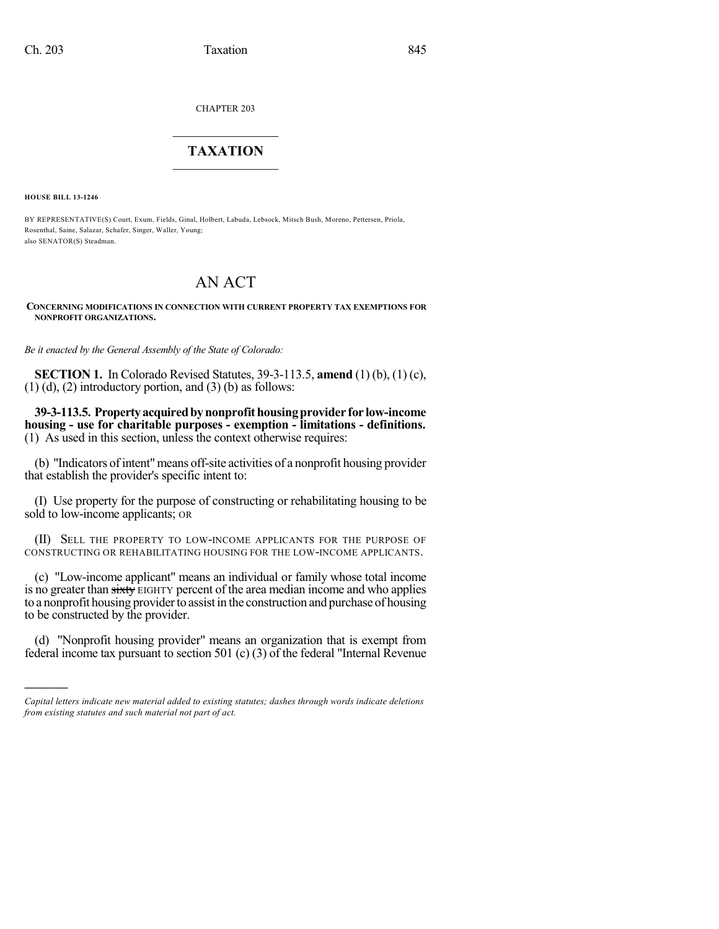CHAPTER 203

## $\overline{\phantom{a}}$  . The set of the set of the set of the set of the set of the set of the set of the set of the set of the set of the set of the set of the set of the set of the set of the set of the set of the set of the set o **TAXATION**  $\_$

**HOUSE BILL 13-1246**

)))))

BY REPRESENTATIVE(S) Court, Exum, Fields, Ginal, Holbert, Labuda, Lebsock, Mitsch Bush, Moreno, Pettersen, Priola, Rosenthal, Saine, Salazar, Schafer, Singer, Waller, Young; also SENATOR(S) Steadman.

## AN ACT

**CONCERNING MODIFICATIONS IN CONNECTION WITH CURRENT PROPERTY TAX EXEMPTIONS FOR NONPROFIT ORGANIZATIONS.**

*Be it enacted by the General Assembly of the State of Colorado:*

**SECTION 1.** In Colorado Revised Statutes, 39-3-113.5, **amend** (1) (b), (1) (c),  $(1)$  (d),  $(2)$  introductory portion, and  $(3)$  (b) as follows:

**39-3-113.5. Propertyacquiredbynonprofithousingprovider for low-income housing - use for charitable purposes - exemption - limitations - definitions.** (1) As used in this section, unless the context otherwise requires:

(b) "Indicators of intent" means off-site activities of a nonprofit housing provider that establish the provider's specific intent to:

(I) Use property for the purpose of constructing or rehabilitating housing to be sold to low-income applicants; OR

(II) SELL THE PROPERTY TO LOW-INCOME APPLICANTS FOR THE PURPOSE OF CONSTRUCTING OR REHABILITATING HOUSING FOR THE LOW-INCOME APPLICANTS.

(c) "Low-income applicant" means an individual or family whose total income is no greater than sixty EIGHTY percent of the area median income and who applies to a nonprofit housing provider to assist in the construction and purchase of housing to be constructed by the provider.

(d) "Nonprofit housing provider" means an organization that is exempt from federal income tax pursuant to section 501 (c) (3) of the federal "Internal Revenue

*Capital letters indicate new material added to existing statutes; dashes through words indicate deletions from existing statutes and such material not part of act.*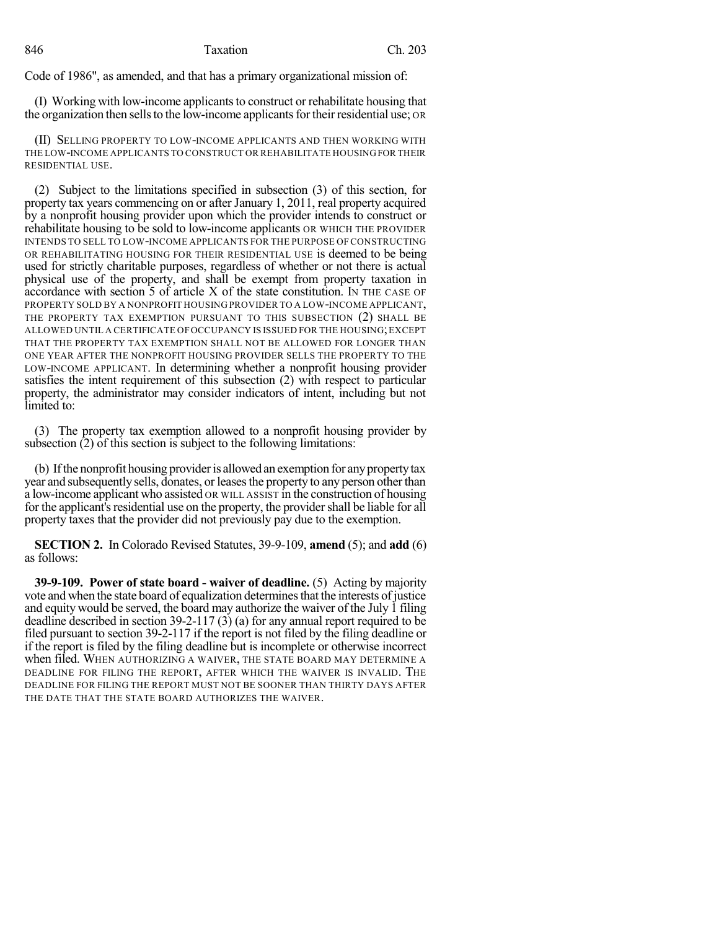Code of 1986", as amended, and that has a primary organizational mission of:

(I) Working with low-income applicants to construct or rehabilitate housing that the organization then sells to the low-income applicants for their residential use; OR

(II) SELLING PROPERTY TO LOW-INCOME APPLICANTS AND THEN WORKING WITH THE LOW-INCOME APPLICANTS TO CONSTRUCT OR REHABILITATE HOUSINGFOR THEIR RESIDENTIAL USE.

(2) Subject to the limitations specified in subsection (3) of this section, for property tax years commencing on or after January 1, 2011, real property acquired by a nonprofit housing provider upon which the provider intends to construct or rehabilitate housing to be sold to low-income applicants OR WHICH THE PROVIDER INTENDS TO SELL TO LOW-INCOME APPLICANTS FOR THE PURPOSE OF CONSTRUCTING OR REHABILITATING HOUSING FOR THEIR RESIDENTIAL USE is deemed to be being used for strictly charitable purposes, regardless of whether or not there is actual physical use of the property, and shall be exempt from property taxation in accordance with section 5 of article X of the state constitution. IN THE CASE OF PROPERTY SOLD BY A NONPROFIT HOUSING PROVIDER TO A LOW-INCOME APPLICANT, THE PROPERTY TAX EXEMPTION PURSUANT TO THIS SUBSECTION (2) SHALL BE ALLOWED UNTIL A CERTIFICATE OFOCCUPANCY IS ISSUED FOR THE HOUSING;EXCEPT THAT THE PROPERTY TAX EXEMPTION SHALL NOT BE ALLOWED FOR LONGER THAN ONE YEAR AFTER THE NONPROFIT HOUSING PROVIDER SELLS THE PROPERTY TO THE LOW-INCOME APPLICANT. In determining whether a nonprofit housing provider satisfies the intent requirement of this subsection (2) with respect to particular property, the administrator may consider indicators of intent, including but not limited to:

(3) The property tax exemption allowed to a nonprofit housing provider by subsection (2) of this section is subject to the following limitations:

(b) Ifthe nonprofit housing provideris allowed an exemption for anypropertytax year and subsequently sells, donates, or leases the property to any person other than a low-income applicant who assisted OR WILL ASSIST in the construction of housing for the applicant's residential use on the property, the provider shall be liable for all property taxes that the provider did not previously pay due to the exemption.

**SECTION 2.** In Colorado Revised Statutes, 39-9-109, **amend** (5); and **add** (6) as follows:

**39-9-109. Power of state board - waiver of deadline.** (5) Acting by majority vote and when the state board of equalization determines that the interests of justice and equity would be served, the board may authorize the waiver of the July 1 filing deadline described in section 39-2-117 (3) (a) for any annual report required to be filed pursuant to section 39-2-117 if the report is not filed by the filing deadline or if the report is filed by the filing deadline but is incomplete or otherwise incorrect when filed. WHEN AUTHORIZING A WAIVER, THE STATE BOARD MAY DETERMINE A DEADLINE FOR FILING THE REPORT, AFTER WHICH THE WAIVER IS INVALID. THE DEADLINE FOR FILING THE REPORT MUST NOT BE SOONER THAN THIRTY DAYS AFTER THE DATE THAT THE STATE BOARD AUTHORIZES THE WAIVER.